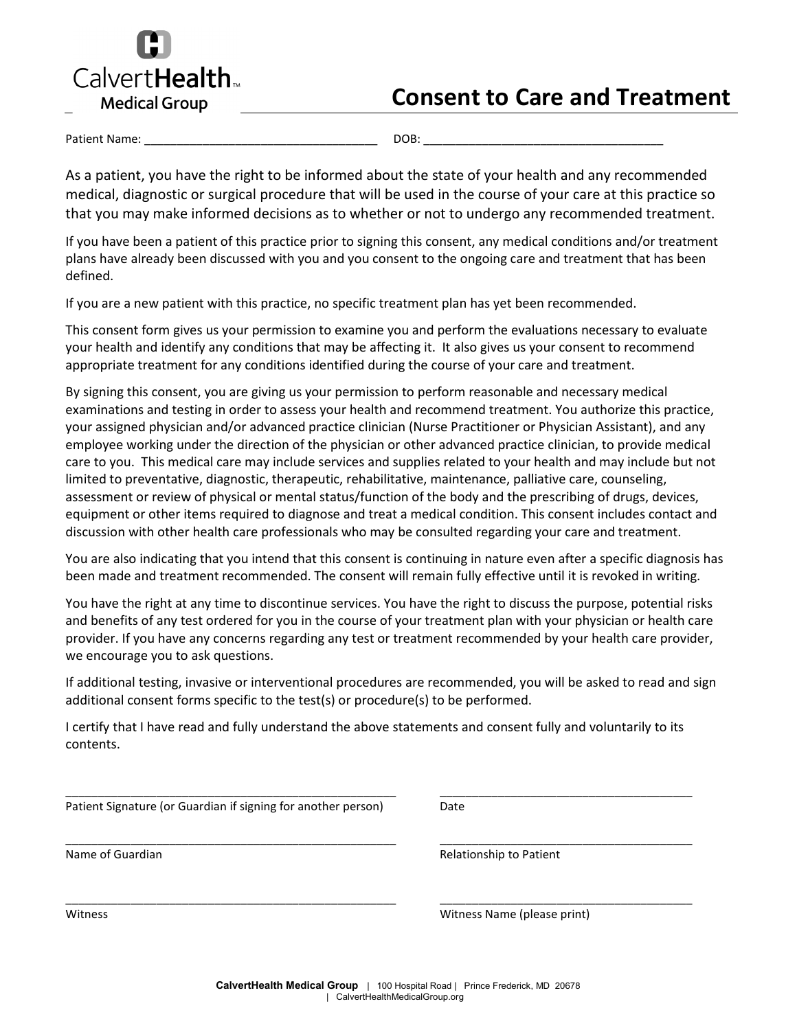

# **Consent to Care and Treatment**

Patient Name: \_\_\_\_\_\_\_\_\_\_\_\_\_\_\_\_\_\_\_\_\_\_\_\_\_\_\_\_\_\_\_\_\_\_\_\_ DOB: \_\_\_\_\_\_\_\_\_\_\_\_\_\_\_\_\_\_\_\_\_\_\_\_\_\_\_\_\_\_\_\_\_\_\_\_\_

As a patient, you have the right to be informed about the state of your health and any recommended medical, diagnostic or surgical procedure that will be used in the course of your care at this practice so that you may make informed decisions as to whether or not to undergo any recommended treatment.

If you have been a patient of this practice prior to signing this consent, any medical conditions and/or treatment plans have already been discussed with you and you consent to the ongoing care and treatment that has been defined.

If you are a new patient with this practice, no specific treatment plan has yet been recommended.

This consent form gives us your permission to examine you and perform the evaluations necessary to evaluate your health and identify any conditions that may be affecting it. It also gives us your consent to recommend appropriate treatment for any conditions identified during the course of your care and treatment.

By signing this consent, you are giving us your permission to perform reasonable and necessary medical examinations and testing in order to assess your health and recommend treatment. You authorize this practice, your assigned physician and/or advanced practice clinician (Nurse Practitioner or Physician Assistant), and any employee working under the direction of the physician or other advanced practice clinician, to provide medical care to you. This medical care may include services and supplies related to your health and may include but not limited to preventative, diagnostic, therapeutic, rehabilitative, maintenance, palliative care, counseling, assessment or review of physical or mental status/function of the body and the prescribing of drugs, devices, equipment or other items required to diagnose and treat a medical condition. This consent includes contact and discussion with other health care professionals who may be consulted regarding your care and treatment.

You are also indicating that you intend that this consent is continuing in nature even after a specific diagnosis has been made and treatment recommended. The consent will remain fully effective until it is revoked in writing.

You have the right at any time to discontinue services. You have the right to discuss the purpose, potential risks and benefits of any test ordered for you in the course of your treatment plan with your physician or health care provider. If you have any concerns regarding any test or treatment recommended by your health care provider, we encourage you to ask questions.

If additional testing, invasive or interventional procedures are recommended, you will be asked to read and sign additional consent forms specific to the test(s) or procedure(s) to be performed.

I certify that I have read and fully understand the above statements and consent fully and voluntarily to its contents.

| Patient Signature (or Guardian if signing for another person) | Date                        |
|---------------------------------------------------------------|-----------------------------|
| Name of Guardian                                              | Relationship to Patient     |
| Witness                                                       | Witness Name (please print) |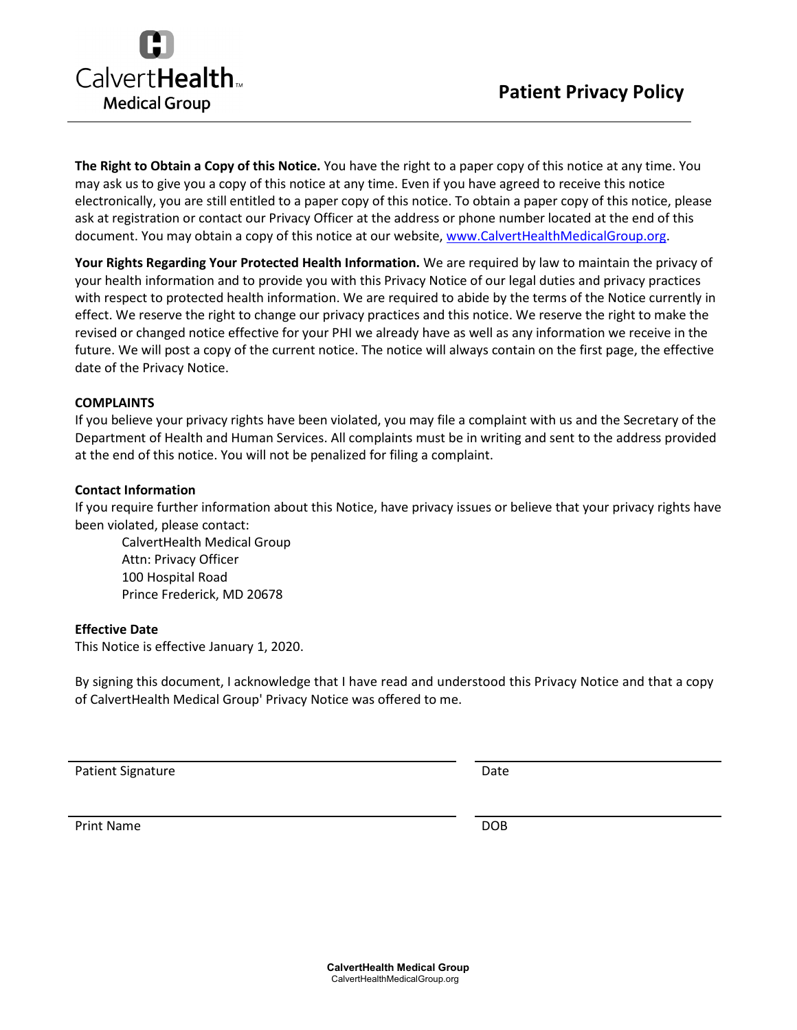

**The Right to Obtain a Copy of this Notice.** You have the right to a paper copy of this notice at any time. You may ask us to give you a copy of this notice at any time. Even if you have agreed to receive this notice electronically, you are still entitled to a paper copy of this notice. To obtain a paper copy of this notice, please ask at registration or contact our Privacy Officer at the address or phone number located at the end of this document. You may obtain a copy of this notice at our website, [www.CalvertHealthMedicalGroup.org.](http://www.calvertphysicianassociates.org/)

**Your Rights Regarding Your Protected Health Information.** We are required by law to maintain the privacy of your health information and to provide you with this Privacy Notice of our legal duties and privacy practices with respect to protected health information. We are required to abide by the terms of the Notice currently in effect. We reserve the right to change our privacy practices and this notice. We reserve the right to make the revised or changed notice effective for your PHI we already have as well as any information we receive in the future. We will post a copy of the current notice. The notice will always contain on the first page, the effective date of the Privacy Notice.

### **COMPLAINTS**

If you believe your privacy rights have been violated, you may file a complaint with us and the Secretary of the Department of Health and Human Services. All complaints must be in writing and sent to the address provided at the end of this notice. You will not be penalized for filing a complaint.

#### **Contact Information**

If you require further information about this Notice, have privacy issues or believe that your privacy rights have been violated, please contact:

CalvertHealth Medical Group Attn: Privacy Officer 100 Hospital Road Prince Frederick, MD 20678

#### **Effective Date**

This Notice is effective January 1, 2020.

By signing this document, I acknowledge that I have read and understood this Privacy Notice and that a copy of CalvertHealth Medical Group' Privacy Notice was offered to me.

Patient Signature Date Date

Print Name DOB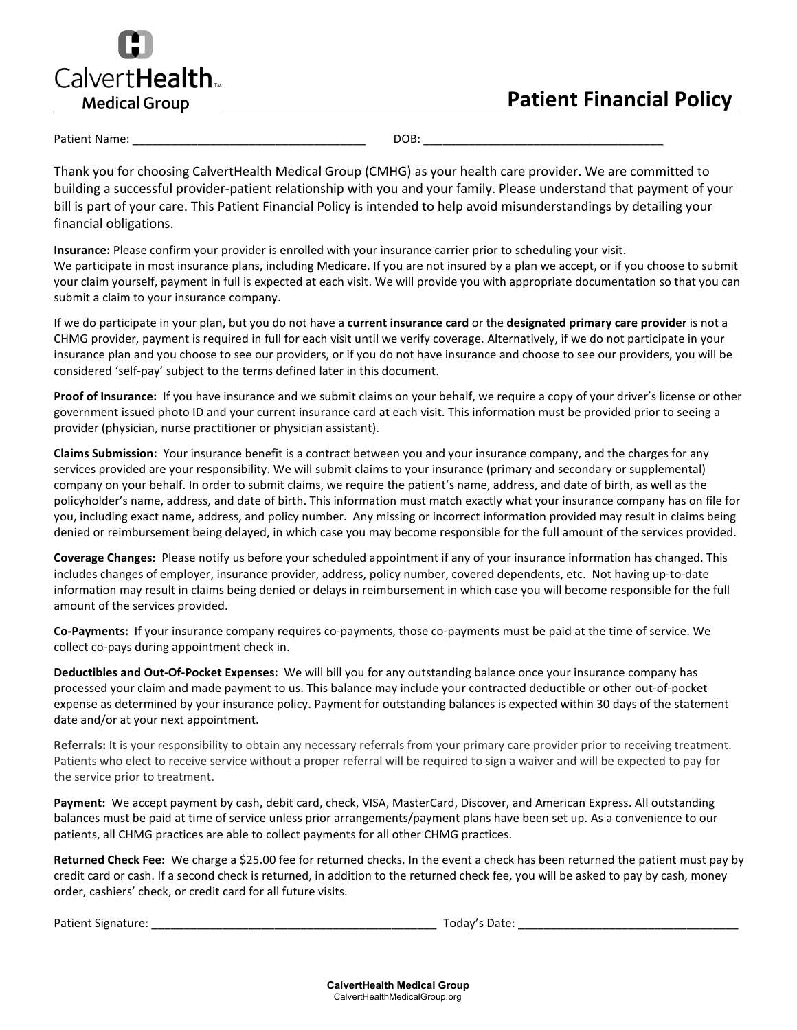

## **Patient Financial Policy**

Patient Name: \_\_\_\_\_\_\_\_\_\_\_\_\_\_\_\_\_\_\_\_\_\_\_\_\_\_\_\_\_\_\_\_\_\_\_\_ DOB: \_\_\_\_\_\_\_\_\_\_\_\_\_\_\_\_\_\_\_\_\_\_\_\_\_\_\_\_\_\_\_\_\_\_\_\_\_

Thank you for choosing CalvertHealth Medical Group (CMHG) as your health care provider. We are committed to building a successful provider-patient relationship with you and your family. Please understand that payment of your bill is part of your care. This Patient Financial Policy is intended to help avoid misunderstandings by detailing your financial obligations.

**Insurance:** Please confirm your provider is enrolled with your insurance carrier prior to scheduling your visit. We participate in most insurance plans, including Medicare. If you are not insured by a plan we accept, or if you choose to submit your claim yourself, payment in full is expected at each visit. We will provide you with appropriate documentation so that you can submit a claim to your insurance company.

If we do participate in your plan, but you do not have a **current insurance card** or the **designated primary care provider** is not a CHMG provider, payment is required in full for each visit until we verify coverage. Alternatively, if we do not participate in your insurance plan and you choose to see our providers, or if you do not have insurance and choose to see our providers, you will be considered 'self-pay' subject to the terms defined later in this document.

**Proof of Insurance:** If you have insurance and we submit claims on your behalf, we require a copy of your driver's license or other government issued photo ID and your current insurance card at each visit. This information must be provided prior to seeing a provider (physician, nurse practitioner or physician assistant).

**Claims Submission:** Your insurance benefit is a contract between you and your insurance company, and the charges for any services provided are your responsibility. We will submit claims to your insurance (primary and secondary or supplemental) company on your behalf. In order to submit claims, we require the patient's name, address, and date of birth, as well as the policyholder's name, address, and date of birth. This information must match exactly what your insurance company has on file for you, including exact name, address, and policy number. Any missing or incorrect information provided may result in claims being denied or reimbursement being delayed, in which case you may become responsible for the full amount of the services provided.

**Coverage Changes:** Please notify us before your scheduled appointment if any of your insurance information has changed. This includes changes of employer, insurance provider, address, policy number, covered dependents, etc. Not having up-to-date information may result in claims being denied or delays in reimbursement in which case you will become responsible for the full amount of the services provided.

**Co-Payments:** If your insurance company requires co-payments, those co-payments must be paid at the time of service. We collect co-pays during appointment check in.

**Deductibles and Out-Of-Pocket Expenses:** We will bill you for any outstanding balance once your insurance company has processed your claim and made payment to us. This balance may include your contracted deductible or other out-of-pocket expense as determined by your insurance policy. Payment for outstanding balances is expected within 30 days of the statement date and/or at your next appointment.

**Referrals:** It is your responsibility to obtain any necessary referrals from your primary care provider prior to receiving treatment. Patients who elect to receive service without a proper referral will be required to sign a waiver and will be expected to pay for the service prior to treatment.

**Payment:** We accept payment by cash, debit card, check, VISA, MasterCard, Discover, and American Express. All outstanding balances must be paid at time of service unless prior arrangements/payment plans have been set up. As a convenience to our patients, all CHMG practices are able to collect payments for all other CHMG practices.

**Returned Check Fee:** We charge a \$25.00 fee for returned checks. In the event a check has been returned the patient must pay by credit card or cash. If a second check is returned, in addition to the returned check fee, you will be asked to pay by cash, money order, cashiers' check, or credit card for all future visits.

Patient Signature: \_\_\_\_\_\_\_\_\_\_\_\_\_\_\_\_\_\_\_\_\_\_\_\_\_\_\_\_\_\_\_\_\_\_\_\_\_\_\_\_\_\_\_\_ Today's Date: \_\_\_\_\_\_\_\_\_\_\_\_\_\_\_\_\_\_\_\_\_\_\_\_\_\_\_\_\_\_\_\_\_\_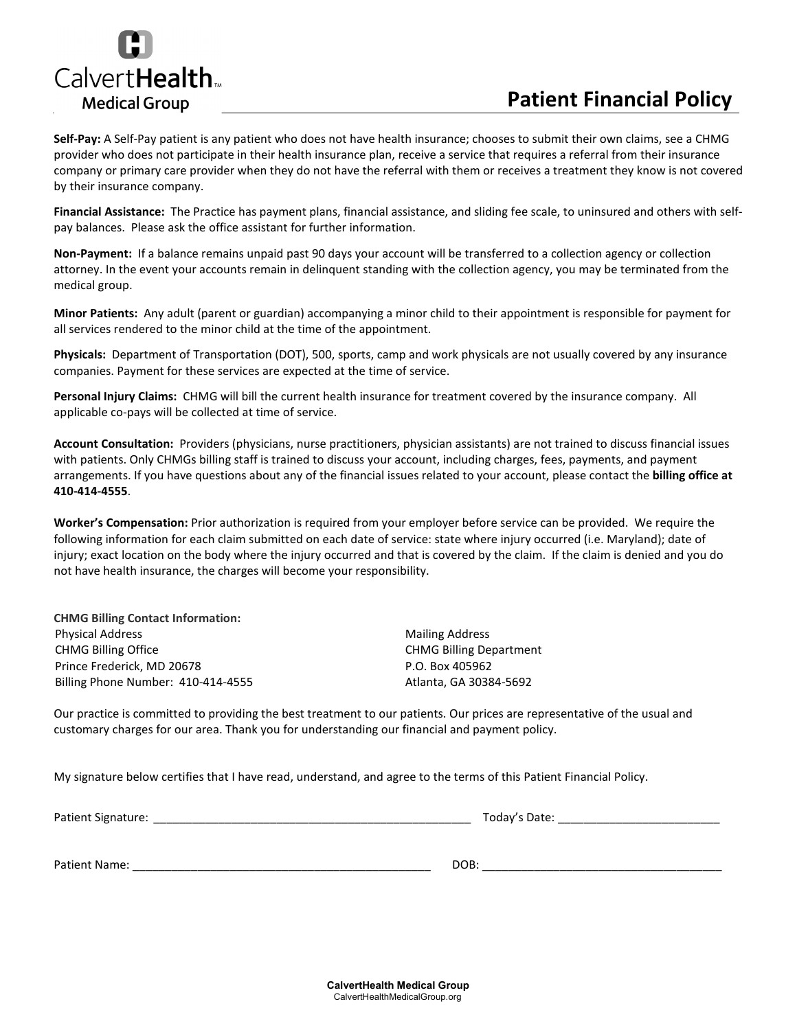

## **Patient Financial Policy**

**Self-Pay:** A Self-Pay patient is any patient who does not have health insurance; chooses to submit their own claims, see a CHMG provider who does not participate in their health insurance plan, receive a service that requires a referral from their insurance company or primary care provider when they do not have the referral with them or receives a treatment they know is not covered by their insurance company.

**Financial Assistance:** The Practice has payment plans, financial assistance, and sliding fee scale, to uninsured and others with selfpay balances. Please ask the office assistant for further information.

**Non-Payment:** If a balance remains unpaid past 90 days your account will be transferred to a collection agency or collection attorney. In the event your accounts remain in delinquent standing with the collection agency, you may be terminated from the medical group.

**Minor Patients:** Any adult (parent or guardian) accompanying a minor child to their appointment is responsible for payment for all services rendered to the minor child at the time of the appointment.

**Physicals:** Department of Transportation (DOT), 500, sports, camp and work physicals are not usually covered by any insurance companies. Payment for these services are expected at the time of service.

**Personal Injury Claims:** CHMG will bill the current health insurance for treatment covered by the insurance company. All applicable co-pays will be collected at time of service.

**Account Consultation:** Providers (physicians, nurse practitioners, physician assistants) are not trained to discuss financial issues with patients. Only CHMGs billing staff is trained to discuss your account, including charges, fees, payments, and payment arrangements. If you have questions about any of the financial issues related to your account, please contact the **billing office at 410-414-4555**.

**Worker's Compensation:** Prior authorization is required from your employer before service can be provided. We require the following information for each claim submitted on each date of service: state where injury occurred (i.e. Maryland); date of injury; exact location on the body where the injury occurred and that is covered by the claim. If the claim is denied and you do not have health insurance, the charges will become your responsibility.

**CHMG Billing Contact Information:** Physical Address **Mailing Address** Mailing Address CHMG Billing Office Prince Frederick, MD 20678 Billing Phone Number: 410-414-4555

CHMG Billing Department P.O. Box 405962 Atlanta, GA 30384-5692

Our practice is committed to providing the best treatment to our patients. Our prices are representative of the usual and customary charges for our area. Thank you for understanding our financial and payment policy.

My signature below certifies that I have read, understand, and agree to the terms of this Patient Financial Policy.

Patient Signature: \_\_\_\_\_\_\_\_\_\_\_\_\_\_\_\_\_\_\_\_\_\_\_\_\_\_\_\_\_\_\_\_\_\_\_\_\_\_\_\_\_\_\_\_\_\_\_\_\_ Today's Date: \_\_\_\_\_\_\_\_\_\_\_\_\_\_\_\_\_\_\_\_\_\_\_\_\_

Patient Name: \_\_\_\_\_\_\_\_\_\_\_\_\_\_\_\_\_\_\_\_\_\_\_\_\_\_\_\_\_\_\_\_\_\_\_\_\_\_\_\_\_\_\_\_\_\_ DOB: \_\_\_\_\_\_\_\_\_\_\_\_\_\_\_\_\_\_\_\_\_\_\_\_\_\_\_\_\_\_\_\_\_\_\_\_\_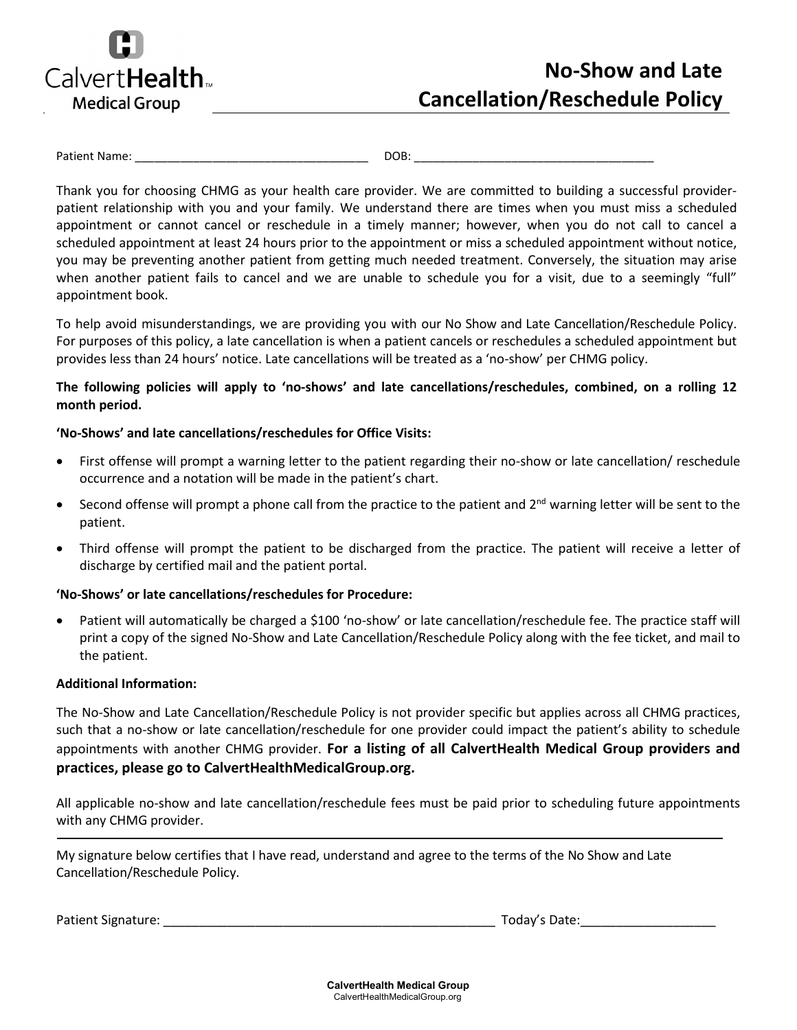

# **No-Show and Late Cancellation/Reschedule Policy**

Patient Name: The contract of the contract of the contract of the contract of the contract of the contract of the contract of the contract of the contract of the contract of the contract of the contract of the contract of

Thank you for choosing CHMG as your health care provider. We are committed to building a successful providerpatient relationship with you and your family. We understand there are times when you must miss a scheduled appointment or cannot cancel or reschedule in a timely manner; however, when you do not call to cancel a scheduled appointment at least 24 hours prior to the appointment or miss a scheduled appointment without notice, you may be preventing another patient from getting much needed treatment. Conversely, the situation may arise when another patient fails to cancel and we are unable to schedule you for a visit, due to a seemingly "full" appointment book.

To help avoid misunderstandings, we are providing you with our No Show and Late Cancellation/Reschedule Policy. For purposes of this policy, a late cancellation is when a patient cancels or reschedules a scheduled appointment but provides less than 24 hours' notice. Late cancellations will be treated as a 'no-show' per CHMG policy.

## **The following policies will apply to 'no-shows' and late cancellations/reschedules, combined, on a rolling 12 month period.**

### **'No-Shows' and late cancellations/reschedules for Office Visits:**

- First offense will prompt a warning letter to the patient regarding their no-show or late cancellation/ reschedule occurrence and a notation will be made in the patient's chart.
- Second offense will prompt a phone call from the practice to the patient and  $2^{nd}$  warning letter will be sent to the patient.
- Third offense will prompt the patient to be discharged from the practice. The patient will receive a letter of discharge by certified mail and the patient portal.

### **'No-Shows' or late cancellations/reschedules for Procedure:**

• Patient will automatically be charged a \$100 'no-show' or late cancellation/reschedule fee. The practice staff will print a copy of the signed No-Show and Late Cancellation/Reschedule Policy along with the fee ticket, and mail to the patient.

### **Additional Information:**

The No-Show and Late Cancellation/Reschedule Policy is not provider specific but applies across all CHMG practices, such that a no-show or late cancellation/reschedule for one provider could impact the patient's ability to schedule appointments with another CHMG provider. **For a listing of all CalvertHealth Medical Group providers and practices, please go to CalvertHealthMedicalGroup.org.**

All applicable no-show and late cancellation/reschedule fees must be paid prior to scheduling future appointments with any CHMG provider.

My signature below certifies that I have read, understand and agree to the terms of the No Show and Late Cancellation/Reschedule Policy.

Patient Signature: \_\_\_\_\_\_\_\_\_\_\_\_\_\_\_\_\_\_\_\_\_\_\_\_\_\_\_\_\_\_\_\_\_\_\_\_\_\_\_\_\_\_\_\_\_\_\_ Today's Date:\_\_\_\_\_\_\_\_\_\_\_\_\_\_\_\_\_\_\_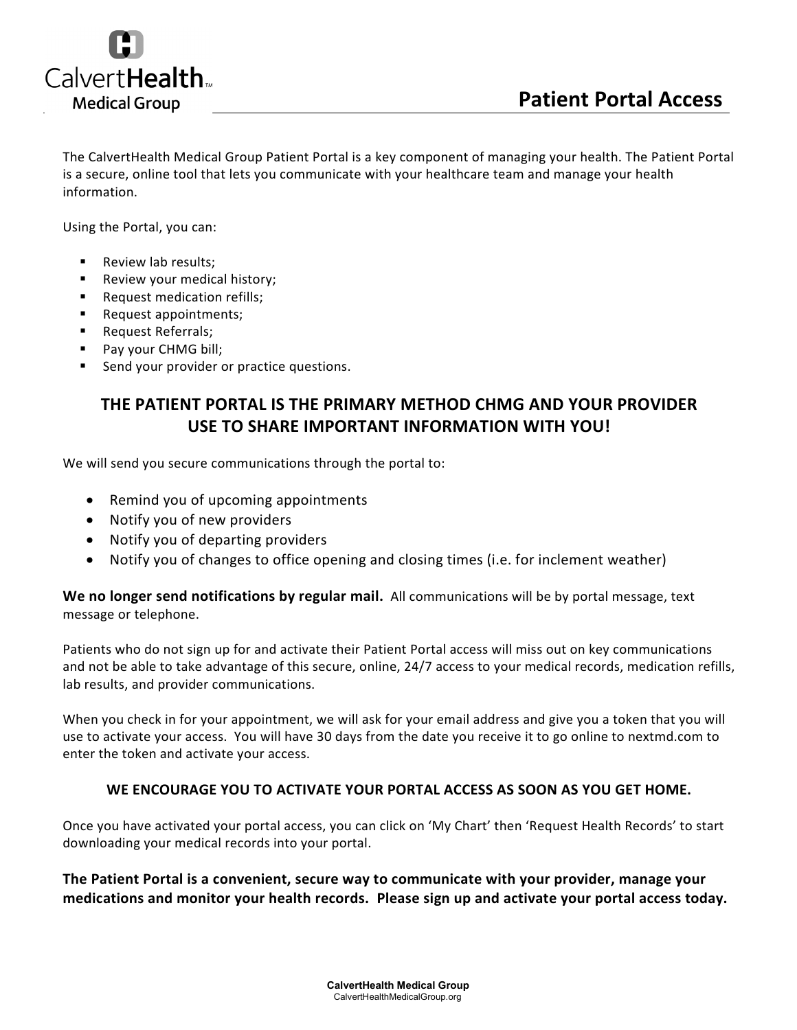

The CalvertHealth Medical Group Patient Portal is a key component of managing your health. The Patient Portal is a secure, online tool that lets you communicate with your healthcare team and manage your health information.

Using the Portal, you can:

- **Review lab results:**
- **Review your medical history;**
- **Request medication refills;**
- **Request appointments;**
- **Request Referrals;**
- **Pay your CHMG bill;**
- Send your provider or practice questions.

## **THE PATIENT PORTAL IS THE PRIMARY METHOD CHMG AND YOUR PROVIDER USE TO SHARE IMPORTANT INFORMATION WITH YOU!**

We will send you secure communications through the portal to:

- Remind you of upcoming appointments
- Notify you of new providers
- Notify you of departing providers
- Notify you of changes to office opening and closing times (i.e. for inclement weather)

**We no longer send notifications by regular mail.** All communications will be by portal message, text message or telephone.

Patients who do not sign up for and activate their Patient Portal access will miss out on key communications and not be able to take advantage of this secure, online, 24/7 access to your medical records, medication refills, lab results, and provider communications.

When you check in for your appointment, we will ask for your email address and give you a token that you will use to activate your access. You will have 30 days from the date you receive it to go online to nextmd.com to enter the token and activate your access.

## **WE ENCOURAGE YOU TO ACTIVATE YOUR PORTAL ACCESS AS SOON AS YOU GET HOME.**

Once you have activated your portal access, you can click on 'My Chart' then 'Request Health Records' to start downloading your medical records into your portal.

**The Patient Portal is a convenient, secure way to communicate with your provider, manage your medications and monitor your health records. Please sign up and activate your portal access today.**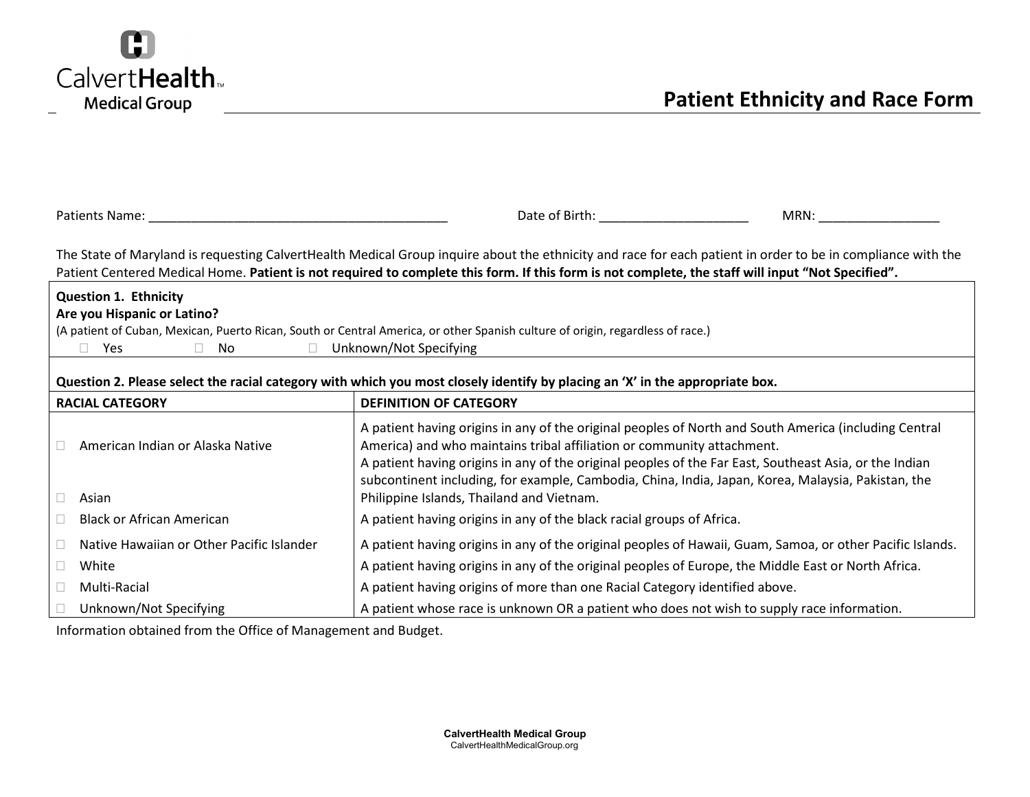

| Patients Name: Name                                                                                                                                                                                                                                                                                              | Date of Birth: The Case of Birth:<br>MRN:                                                                                                                                                                                                                                                 |  |  |  |  |  |
|------------------------------------------------------------------------------------------------------------------------------------------------------------------------------------------------------------------------------------------------------------------------------------------------------------------|-------------------------------------------------------------------------------------------------------------------------------------------------------------------------------------------------------------------------------------------------------------------------------------------|--|--|--|--|--|
| The State of Maryland is requesting CalvertHealth Medical Group inquire about the ethnicity and race for each patient in order to be in compliance with the<br>Patient Centered Medical Home. Patient is not required to complete this form. If this form is not complete, the staff will input "Not Specified". |                                                                                                                                                                                                                                                                                           |  |  |  |  |  |
| <b>Question 1. Ethnicity</b>                                                                                                                                                                                                                                                                                     |                                                                                                                                                                                                                                                                                           |  |  |  |  |  |
| Are you Hispanic or Latino?                                                                                                                                                                                                                                                                                      |                                                                                                                                                                                                                                                                                           |  |  |  |  |  |
| Yes<br>No.<br>$\Box$<br>$\mathbb{R}^n$                                                                                                                                                                                                                                                                           | (A patient of Cuban, Mexican, Puerto Rican, South or Central America, or other Spanish culture of origin, regardless of race.)<br>Unknown/Not Specifying                                                                                                                                  |  |  |  |  |  |
|                                                                                                                                                                                                                                                                                                                  |                                                                                                                                                                                                                                                                                           |  |  |  |  |  |
|                                                                                                                                                                                                                                                                                                                  | Question 2. Please select the racial category with which you most closely identify by placing an 'X' in the appropriate box.                                                                                                                                                              |  |  |  |  |  |
| <b>RACIAL CATEGORY</b>                                                                                                                                                                                                                                                                                           | <b>DEFINITION OF CATEGORY</b>                                                                                                                                                                                                                                                             |  |  |  |  |  |
| American Indian or Alaska Native                                                                                                                                                                                                                                                                                 | A patient having origins in any of the original peoples of North and South America (including Central<br>America) and who maintains tribal affiliation or community attachment.<br>A patient having origins in any of the original peoples of the Far East, Southeast Asia, or the Indian |  |  |  |  |  |
| Asian                                                                                                                                                                                                                                                                                                            | subcontinent including, for example, Cambodia, China, India, Japan, Korea, Malaysia, Pakistan, the<br>Philippine Islands, Thailand and Vietnam.                                                                                                                                           |  |  |  |  |  |
| <b>Black or African American</b>                                                                                                                                                                                                                                                                                 | A patient having origins in any of the black racial groups of Africa.                                                                                                                                                                                                                     |  |  |  |  |  |
| Native Hawaiian or Other Pacific Islander                                                                                                                                                                                                                                                                        | A patient having origins in any of the original peoples of Hawaii, Guam, Samoa, or other Pacific Islands.                                                                                                                                                                                 |  |  |  |  |  |
| White<br>□                                                                                                                                                                                                                                                                                                       | A patient having origins in any of the original peoples of Europe, the Middle East or North Africa.                                                                                                                                                                                       |  |  |  |  |  |
| Multi-Racial                                                                                                                                                                                                                                                                                                     | A patient having origins of more than one Racial Category identified above.                                                                                                                                                                                                               |  |  |  |  |  |
| Unknown/Not Specifying                                                                                                                                                                                                                                                                                           | A patient whose race is unknown OR a patient who does not wish to supply race information.                                                                                                                                                                                                |  |  |  |  |  |

Information obtained from the Office of Management and Budget.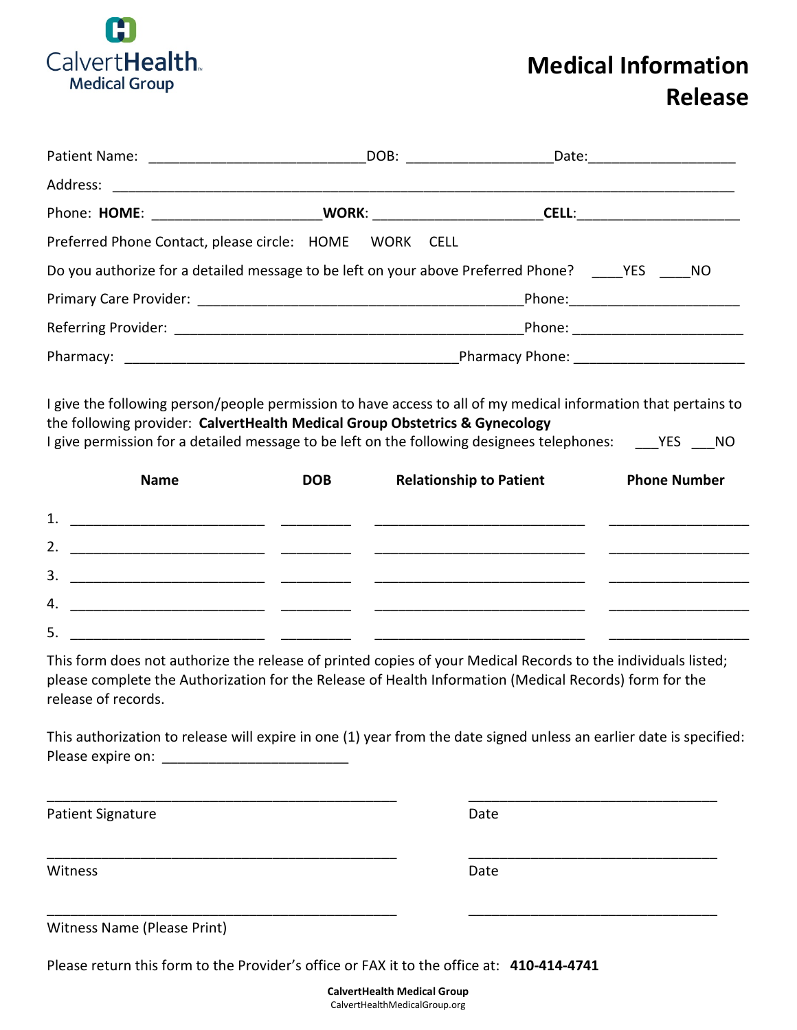

# **Medical Information Release**

| Preferred Phone Contact, please circle: HOME WORK CELL                                                                                                                                                                                                                                             |            |                                |                                   |  |  |  |
|----------------------------------------------------------------------------------------------------------------------------------------------------------------------------------------------------------------------------------------------------------------------------------------------------|------------|--------------------------------|-----------------------------------|--|--|--|
| Do you authorize for a detailed message to be left on your above Preferred Phone? YES NO                                                                                                                                                                                                           |            |                                |                                   |  |  |  |
|                                                                                                                                                                                                                                                                                                    |            |                                |                                   |  |  |  |
|                                                                                                                                                                                                                                                                                                    |            |                                | Phone: __________________________ |  |  |  |
|                                                                                                                                                                                                                                                                                                    |            |                                |                                   |  |  |  |
| I give the following person/people permission to have access to all of my medical information that pertains to<br>the following provider: CalvertHealth Medical Group Obstetrics & Gynecology<br>I give permission for a detailed message to be left on the following designees telephones: YES NO |            |                                |                                   |  |  |  |
| <b>Name</b>                                                                                                                                                                                                                                                                                        | <b>DOB</b> | <b>Relationship to Patient</b> | <b>Phone Number</b>               |  |  |  |

|    | <b>INGHIE</b> | 0טט | Relativiiship to Patient | <b>PHONE NUMBER</b> |
|----|---------------|-----|--------------------------|---------------------|
| 1. |               |     |                          |                     |
| 2. |               |     |                          |                     |
| 3. |               |     |                          |                     |
| 4. |               |     |                          |                     |
| 5. |               |     |                          |                     |

This form does not authorize the release of printed copies of your Medical Records to the individuals listed; please complete the Authorization for the Release of Health Information (Medical Records) form for the release of records.

This authorization to release will expire in one (1) year from the date signed unless an earlier date is specified: Please expire on:

\_\_\_\_\_\_\_\_\_\_\_\_\_\_\_\_\_\_\_\_\_\_\_\_\_\_\_\_\_\_\_\_\_\_\_\_\_\_\_\_\_\_\_\_\_ \_\_\_\_\_\_\_\_\_\_\_\_\_\_\_\_\_\_\_\_\_\_\_\_\_\_\_\_\_\_\_\_

\_\_\_\_\_\_\_\_\_\_\_\_\_\_\_\_\_\_\_\_\_\_\_\_\_\_\_\_\_\_\_\_\_\_\_\_\_\_\_\_\_\_\_\_\_ \_\_\_\_\_\_\_\_\_\_\_\_\_\_\_\_\_\_\_\_\_\_\_\_\_\_\_\_\_\_\_\_

\_\_\_\_\_\_\_\_\_\_\_\_\_\_\_\_\_\_\_\_\_\_\_\_\_\_\_\_\_\_\_\_\_\_\_\_\_\_\_\_\_\_\_\_\_ \_\_\_\_\_\_\_\_\_\_\_\_\_\_\_\_\_\_\_\_\_\_\_\_\_\_\_\_\_\_\_\_

Patient Signature Date Date

Witness **Date** 

Witness Name (Please Print)

Please return this form to the Provider's office or FAX it to the office at: **410-414-4741**

**CalvertHealth Medical Group** CalvertHealthMedicalGroup.org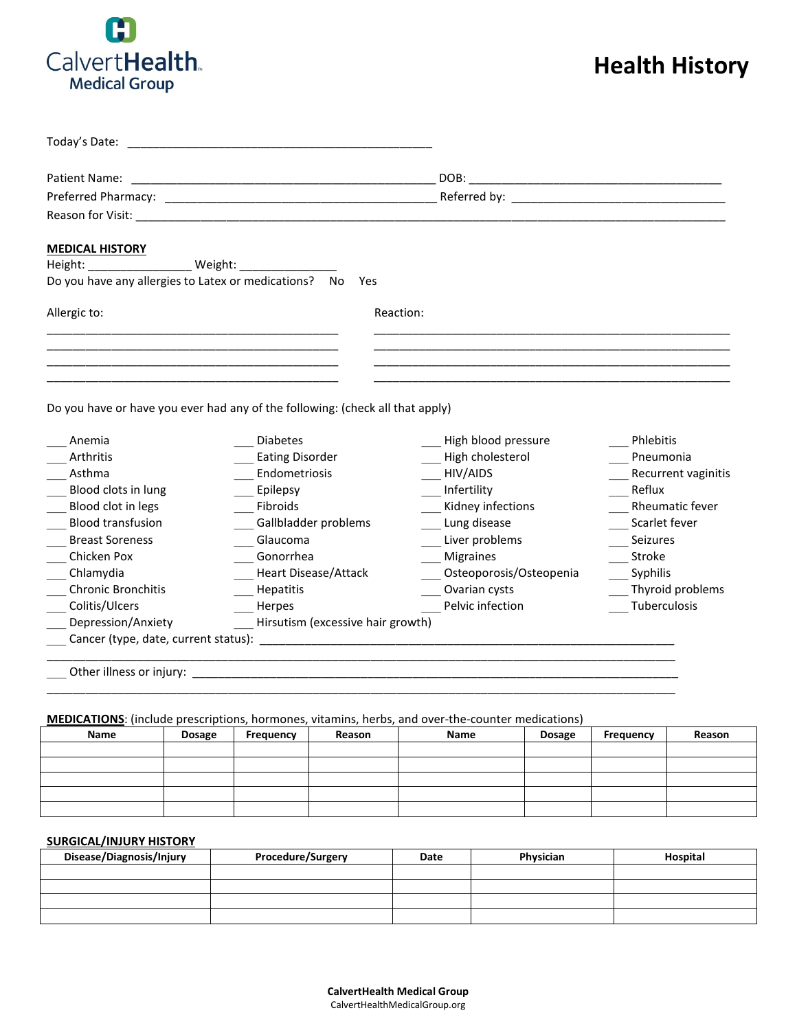

# **Health History**

| Today's Date:                                         |                                                                               |                                                                                                                                                                                                                                |                     |
|-------------------------------------------------------|-------------------------------------------------------------------------------|--------------------------------------------------------------------------------------------------------------------------------------------------------------------------------------------------------------------------------|---------------------|
| Patient Name:                                         |                                                                               | DOB:                                                                                                                                                                                                                           |                     |
|                                                       |                                                                               | Referred by: The contract of the contract of the contract of the contract of the contract of the contract of the contract of the contract of the contract of the contract of the contract of the contract of the contract of t |                     |
|                                                       |                                                                               |                                                                                                                                                                                                                                |                     |
|                                                       |                                                                               |                                                                                                                                                                                                                                |                     |
| <b>MEDICAL HISTORY</b>                                |                                                                               |                                                                                                                                                                                                                                |                     |
| Height: Weight: Weight:                               |                                                                               |                                                                                                                                                                                                                                |                     |
| Do you have any allergies to Latex or medications? No | Yes                                                                           |                                                                                                                                                                                                                                |                     |
| Allergic to:                                          | Reaction:                                                                     |                                                                                                                                                                                                                                |                     |
|                                                       |                                                                               |                                                                                                                                                                                                                                |                     |
|                                                       |                                                                               |                                                                                                                                                                                                                                |                     |
|                                                       |                                                                               |                                                                                                                                                                                                                                |                     |
|                                                       |                                                                               |                                                                                                                                                                                                                                |                     |
|                                                       | Do you have or have you ever had any of the following: (check all that apply) |                                                                                                                                                                                                                                |                     |
|                                                       |                                                                               |                                                                                                                                                                                                                                |                     |
| Anemia                                                | <b>Diabetes</b>                                                               | High blood pressure                                                                                                                                                                                                            | Phlebitis           |
| Arthritis                                             | <b>Eating Disorder</b>                                                        | High cholesterol                                                                                                                                                                                                               | Pneumonia           |
| Asthma                                                | Endometriosis                                                                 | HIV/AIDS                                                                                                                                                                                                                       | Recurrent vaginitis |
| Blood clots in lung                                   | Epilepsy                                                                      | Infertility                                                                                                                                                                                                                    | Reflux              |
| Blood clot in legs                                    | Fibroids                                                                      | Kidney infections                                                                                                                                                                                                              | Rheumatic fever     |
| <b>Blood transfusion</b>                              | Gallbladder problems                                                          | Lung disease                                                                                                                                                                                                                   | Scarlet fever       |
| <b>Breast Soreness</b>                                | Glaucoma                                                                      | Liver problems                                                                                                                                                                                                                 | Seizures            |
| Chicken Pox                                           | Gonorrhea                                                                     | <b>Migraines</b>                                                                                                                                                                                                               | Stroke              |
| Chlamydia                                             | <b>Heart Disease/Attack</b>                                                   | Osteoporosis/Osteopenia                                                                                                                                                                                                        | Syphilis            |
| Chronic Bronchitis                                    | Hepatitis                                                                     | Ovarian cysts                                                                                                                                                                                                                  | Thyroid problems    |
| Colitis/Ulcers                                        | Herpes                                                                        | Pelvic infection                                                                                                                                                                                                               | Tuberculosis        |
| Depression/Anxiety                                    | Hirsutism (excessive hair growth)                                             |                                                                                                                                                                                                                                |                     |
|                                                       |                                                                               |                                                                                                                                                                                                                                |                     |
|                                                       |                                                                               |                                                                                                                                                                                                                                |                     |
|                                                       |                                                                               |                                                                                                                                                                                                                                |                     |
|                                                       |                                                                               |                                                                                                                                                                                                                                |                     |

**MEDICATIONS**: (include prescriptions, hormones, vitamins, herbs, and over-the-counter medications)

| Name | <b>Dosage</b> | Frequency | Reason | Name | <b>Dosage</b> | Frequency | Reason |
|------|---------------|-----------|--------|------|---------------|-----------|--------|
|      |               |           |        |      |               |           |        |
|      |               |           |        |      |               |           |        |
|      |               |           |        |      |               |           |        |
|      |               |           |        |      |               |           |        |
|      |               |           |        |      |               |           |        |

#### **SURGICAL/INJURY HISTORY**

| Disease/Diagnosis/Injury | Procedure/Surgery | Date | Physician | Hospital |
|--------------------------|-------------------|------|-----------|----------|
|                          |                   |      |           |          |
|                          |                   |      |           |          |
|                          |                   |      |           |          |
|                          |                   |      |           |          |